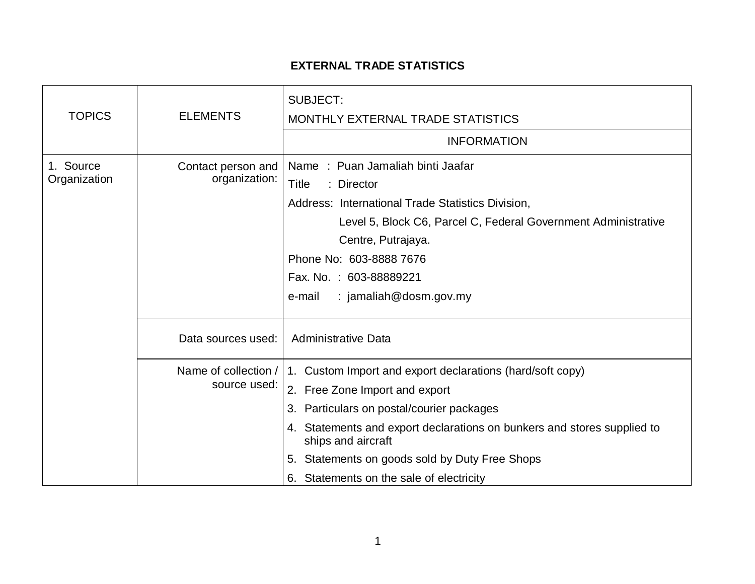## **EXTERNAL TRADE STATISTICS**

| <b>TOPICS</b>             | <b>ELEMENTS</b>                      | SUBJECT:<br>MONTHLY EXTERNAL TRADE STATISTICS                                                 |
|---------------------------|--------------------------------------|-----------------------------------------------------------------------------------------------|
|                           |                                      | <b>INFORMATION</b>                                                                            |
| 1. Source<br>Organization | Contact person and<br>organization:  | Name: Puan Jamaliah binti Jaafar                                                              |
|                           |                                      | Title<br>: Director                                                                           |
|                           |                                      | Address: International Trade Statistics Division,                                             |
|                           |                                      | Level 5, Block C6, Parcel C, Federal Government Administrative                                |
|                           |                                      | Centre, Putrajaya.                                                                            |
|                           |                                      | Phone No: 603-8888 7676                                                                       |
|                           |                                      | Fax. No.: 603-88889221                                                                        |
|                           |                                      | : jamaliah@dosm.gov.my<br>e-mail                                                              |
|                           | Data sources used:                   | <b>Administrative Data</b>                                                                    |
|                           | Name of collection /<br>source used: | 1. Custom Import and export declarations (hard/soft copy)                                     |
|                           |                                      | 2. Free Zone Import and export                                                                |
|                           |                                      | 3. Particulars on postal/courier packages                                                     |
|                           |                                      | 4. Statements and export declarations on bunkers and stores supplied to<br>ships and aircraft |
|                           |                                      | 5. Statements on goods sold by Duty Free Shops                                                |
|                           |                                      | 6. Statements on the sale of electricity                                                      |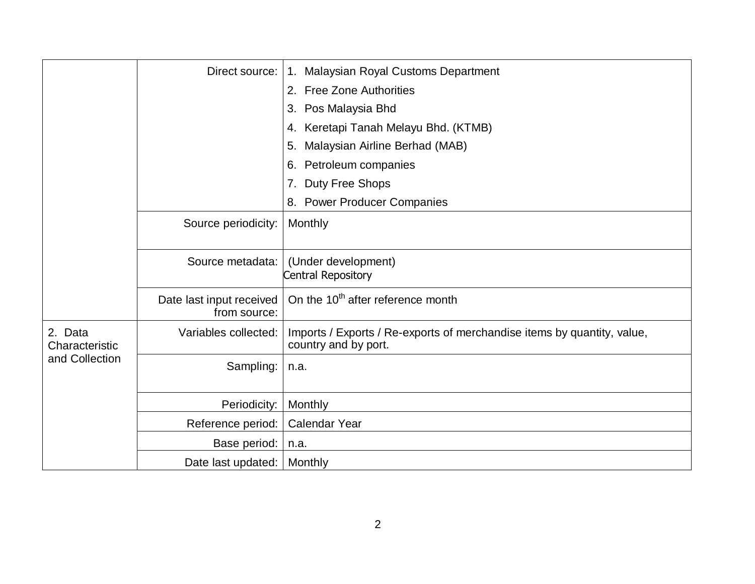|                                             | Direct source:                           | 1. Malaysian Royal Customs Department                                                           |
|---------------------------------------------|------------------------------------------|-------------------------------------------------------------------------------------------------|
|                                             |                                          | <b>Free Zone Authorities</b><br>2.                                                              |
|                                             |                                          | Pos Malaysia Bhd<br>3.                                                                          |
|                                             |                                          | Keretapi Tanah Melayu Bhd. (KTMB)<br>4.                                                         |
|                                             |                                          | Malaysian Airline Berhad (MAB)<br>5.                                                            |
|                                             |                                          | Petroleum companies<br>6.                                                                       |
|                                             |                                          | 7. Duty Free Shops                                                                              |
|                                             |                                          | 8. Power Producer Companies                                                                     |
|                                             | Source periodicity:                      | Monthly                                                                                         |
|                                             | Source metadata:                         | (Under development)<br>Central Repository                                                       |
|                                             | Date last input received<br>from source: | On the 10 <sup>th</sup> after reference month                                                   |
| 2. Data<br>Characteristic<br>and Collection | Variables collected:                     | Imports / Exports / Re-exports of merchandise items by quantity, value,<br>country and by port. |
|                                             | Sampling:                                | n.a.                                                                                            |
|                                             | Periodicity:                             | Monthly                                                                                         |
|                                             | Reference period:                        | Calendar Year                                                                                   |
|                                             | Base period:                             | n.a.                                                                                            |
|                                             | Date last updated:                       | Monthly                                                                                         |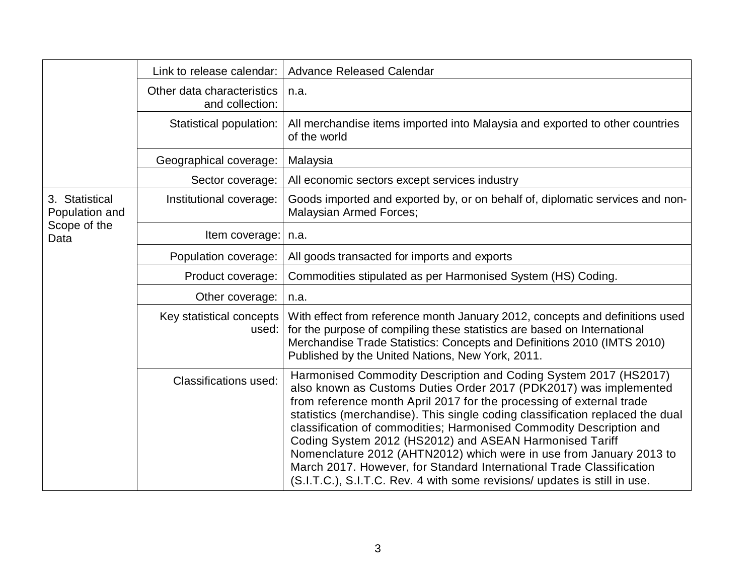|                                                          | Link to release calendar:                     | <b>Advance Released Calendar</b>                                                                                                                                                                                                                                                                                                                                                                                                                                                                                                                                                                                                                             |
|----------------------------------------------------------|-----------------------------------------------|--------------------------------------------------------------------------------------------------------------------------------------------------------------------------------------------------------------------------------------------------------------------------------------------------------------------------------------------------------------------------------------------------------------------------------------------------------------------------------------------------------------------------------------------------------------------------------------------------------------------------------------------------------------|
|                                                          | Other data characteristics<br>and collection: | n.a.                                                                                                                                                                                                                                                                                                                                                                                                                                                                                                                                                                                                                                                         |
|                                                          | Statistical population:                       | All merchandise items imported into Malaysia and exported to other countries<br>of the world                                                                                                                                                                                                                                                                                                                                                                                                                                                                                                                                                                 |
|                                                          | Geographical coverage:                        | Malaysia                                                                                                                                                                                                                                                                                                                                                                                                                                                                                                                                                                                                                                                     |
|                                                          | Sector coverage:                              | All economic sectors except services industry                                                                                                                                                                                                                                                                                                                                                                                                                                                                                                                                                                                                                |
| 3. Statistical<br>Population and<br>Scope of the<br>Data | Institutional coverage:                       | Goods imported and exported by, or on behalf of, diplomatic services and non-<br><b>Malaysian Armed Forces;</b>                                                                                                                                                                                                                                                                                                                                                                                                                                                                                                                                              |
|                                                          | Item coverage:                                | n.a.                                                                                                                                                                                                                                                                                                                                                                                                                                                                                                                                                                                                                                                         |
|                                                          | Population coverage:                          | All goods transacted for imports and exports                                                                                                                                                                                                                                                                                                                                                                                                                                                                                                                                                                                                                 |
|                                                          | Product coverage:                             | Commodities stipulated as per Harmonised System (HS) Coding.                                                                                                                                                                                                                                                                                                                                                                                                                                                                                                                                                                                                 |
|                                                          | Other coverage:                               | n.a.                                                                                                                                                                                                                                                                                                                                                                                                                                                                                                                                                                                                                                                         |
|                                                          | Key statistical concepts<br>used:             | With effect from reference month January 2012, concepts and definitions used<br>for the purpose of compiling these statistics are based on International<br>Merchandise Trade Statistics: Concepts and Definitions 2010 (IMTS 2010)<br>Published by the United Nations, New York, 2011.                                                                                                                                                                                                                                                                                                                                                                      |
|                                                          | <b>Classifications used:</b>                  | Harmonised Commodity Description and Coding System 2017 (HS2017)<br>also known as Customs Duties Order 2017 (PDK2017) was implemented<br>from reference month April 2017 for the processing of external trade<br>statistics (merchandise). This single coding classification replaced the dual<br>classification of commodities; Harmonised Commodity Description and<br>Coding System 2012 (HS2012) and ASEAN Harmonised Tariff<br>Nomenclature 2012 (AHTN2012) which were in use from January 2013 to<br>March 2017. However, for Standard International Trade Classification<br>(S.I.T.C.), S.I.T.C. Rev. 4 with some revisions/ updates is still in use. |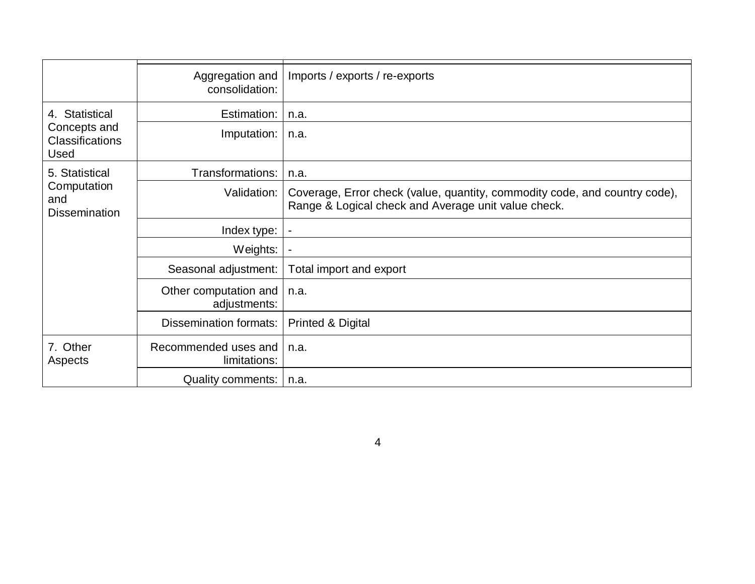|                                                                         | Aggregation and<br>consolidation:     | Imports / exports / re-exports                                                                                                    |
|-------------------------------------------------------------------------|---------------------------------------|-----------------------------------------------------------------------------------------------------------------------------------|
| 4. Statistical<br>Concepts and<br><b>Classifications</b><br><b>Used</b> | Estimation:                           | n.a.                                                                                                                              |
|                                                                         | Imputation:                           | n.a.                                                                                                                              |
| 5. Statistical<br>Computation<br>and<br><b>Dissemination</b>            | Transformations:                      | n.a.                                                                                                                              |
|                                                                         | Validation:                           | Coverage, Error check (value, quantity, commodity code, and country code),<br>Range & Logical check and Average unit value check. |
|                                                                         | Index type:                           | $\blacksquare$                                                                                                                    |
|                                                                         | Weights:                              | $\blacksquare$                                                                                                                    |
|                                                                         | Seasonal adjustment:                  | Total import and export                                                                                                           |
|                                                                         | Other computation and<br>adjustments: | n.a.                                                                                                                              |
|                                                                         | Dissemination formats:                | <b>Printed &amp; Digital</b>                                                                                                      |
| 7. Other<br>Aspects                                                     | Recommended uses and<br>limitations:  | n.a.                                                                                                                              |
|                                                                         | Quality comments:                     | n.a.                                                                                                                              |

4